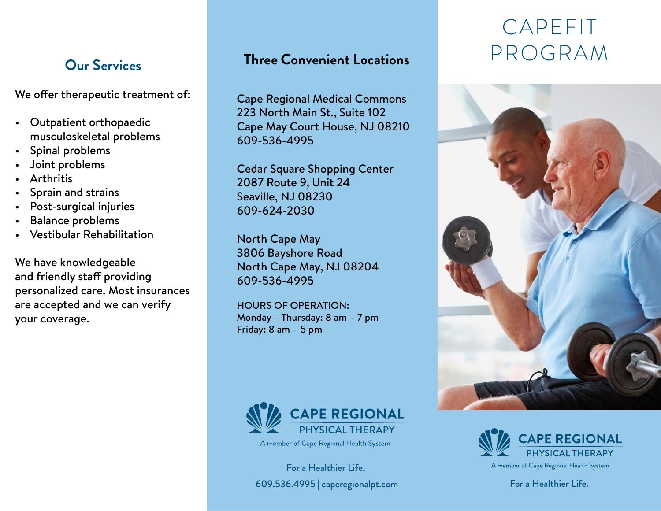We offer therapeutic treatment of:

- Outpatient orthopaedic musculoskeletal problems
- Spinal problems
- Joint problems
- Arthritis
- Sprain and strains
- Post-surgical injuries
- Balance problems
- Vestibular Rehabilitation

We have knowledgeable and friendly staff providing personalized care. Most insurances are accepted and we can verify your coverage.

#### **Three Convenient Locations**

Cape Regional Medical Commons 223 North Main St., Suite 102 Cape May Court House, NJ 08210 609-536-4995

Cedar Square Shopping Center 2087 Route 9, Unit 24 Seaville, NJ 08230 609-624-2030

North Cape May 3806 Bayshore Road North Cape May, NJ 08204 609-536-4995

HOURS OF OPERATION: Monday – Thursday: 8 am – 7 pm Friday: 8 am – 5 pm



For a Healthier Life**.** 609.536.4995 | caperegionalpt.com

# CAPEFIT **Our Services Three Convenient Locations** PROGRAM





A member of Cape Regional Health System

For a Healthier Life.